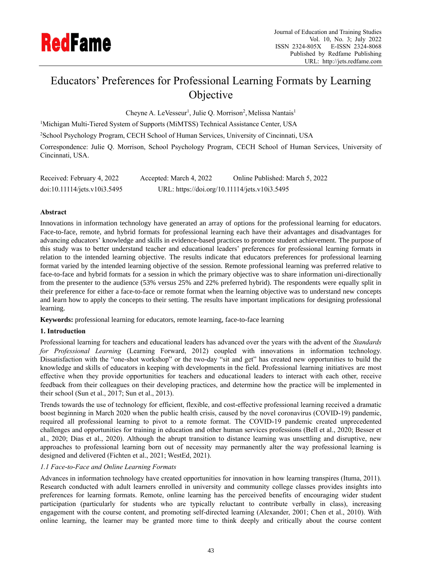

# Educators' Preferences for Professional Learning Formats by Learning **Objective**

Cheyne A. LeVesseur<sup>1</sup>, Julie Q. Morrison<sup>2</sup>, Melissa Nantais<sup>1</sup>

<sup>1</sup>Michigan Multi-Tiered System of Supports (MiMTSS) Technical Assistance Center, USA

<sup>2</sup>School Psychology Program, CECH School of Human Services, University of Cincinnati, USA

Correspondence: Julie Q. Morrison, School Psychology Program, CECH School of Human Services, University of Cincinnati, USA.

| Received: February 4, 2022   | Accepted: March 4, 2022                       | Online Published: March 5, 2022 |
|------------------------------|-----------------------------------------------|---------------------------------|
| doi:10.11114/jets.v10i3.5495 | URL: https://doi.org/10.11114/jets.v10i3.5495 |                                 |

# **Abstract**

Innovations in information technology have generated an array of options for the professional learning for educators. Face-to-face, remote, and hybrid formats for professional learning each have their advantages and disadvantages for advancing educators' knowledge and skills in evidence-based practices to promote student achievement. The purpose of this study was to better understand teacher and educational leaders' preferences for professional learning formats in relation to the intended learning objective. The results indicate that educators preferences for professional learning format varied by the intended learning objective of the session. Remote professional learning was preferred relative to face-to-face and hybrid formats for a session in which the primary objective was to share information uni-directionally from the presenter to the audience (53% versus 25% and 22% preferred hybrid). The respondents were equally split in their preference for either a face-to-face or remote format when the learning objective was to understand new concepts and learn how to apply the concepts to their setting. The results have important implications for designing professional learning.

**Keywords:** professional learning for educators, remote learning, face-to-face learning

# **1. Introduction**

Professional learning for teachers and educational leaders has advanced over the years with the advent of the *Standards for Professional Learning* (Learning Forward, 2012) coupled with innovations in information technology. Dissatisfaction with the "one-shot workshop" or the two-day "sit and get" has created new opportunities to build the knowledge and skills of educators in keeping with developments in the field. Professional learning initiatives are most effective when they provide opportunities for teachers and educational leaders to interact with each other, receive feedback from their colleagues on their developing practices, and determine how the practice will be implemented in their school (Sun et al., 2017; Sun et al., 2013).

Trends towards the use of technology for efficient, flexible, and cost-effective professional learning received a dramatic boost beginning in March 2020 when the public health crisis, caused by the novel coronavirus (COVID-19) pandemic, required all professional learning to pivot to a remote format. The COVID-19 pandemic created unprecedented challenges and opportunities for training in education and other human services professions (Bell et al., 2020; Besser et al., 2020; Dias et al., 2020). Although the abrupt transition to distance learning was unsettling and disruptive, new approaches to professional learning born out of necessity may permanently alter the way professional learning is designed and delivered (Fichten et al., 2021; WestEd, 2021).

# *1.1 Face-to-Face and Online Learning Formats*

Advances in information technology have created opportunities for innovation in how learning transpires (Ituma, 2011). Research conducted with adult learners enrolled in university and community college classes provides insights into preferences for learning formats. Remote, online learning has the perceived benefits of encouraging wider student participation (particularly for students who are typically reluctant to contribute verbally in class), increasing engagement with the course content, and promoting self-directed learning (Alexander, 2001; Chen et al., 2010). With online learning, the learner may be granted more time to think deeply and critically about the course content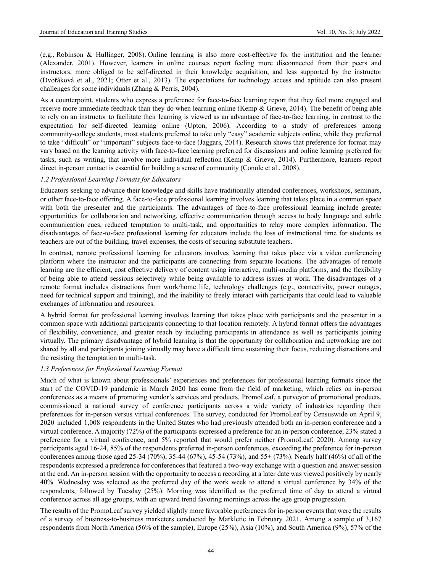(e.g., Robinson & Hullinger, 2008). Online learning is also more cost-effective for the institution and the learner (Alexander, 2001). However, learners in online courses report feeling more disconnected from their peers and instructors, more obliged to be self-directed in their knowledge acquisition, and less supported by the instructor (Dvořáková et al., 2021; Otter et al., 2013). The expectations for technology access and aptitude can also present challenges for some individuals (Zhang & Perris, 2004).

As a counterpoint, students who express a preference for face-to-face learning report that they feel more engaged and receive more immediate feedback than they do when learning online (Kemp & Grieve, 2014). The benefit of being able to rely on an instructor to facilitate their learning is viewed as an advantage of face-to-face learning, in contrast to the expectation for self-directed learning online (Upton, 2006). According to a study of preferences among community-college students, most students preferred to take only "easy" academic subjects online, while they preferred to take "difficult" or "important" subjects face-to-face (Jaggars, 2014). Research shows that preference for format may vary based on the learning activity with face-to-face learning preferred for discussions and online learning preferred for tasks, such as writing, that involve more individual reflection (Kemp & Grieve, 2014). Furthermore, learners report direct in-person contact is essential for building a sense of community (Conole et al., 2008).

#### *1.2 Professional Learning Formats for Educators*

Educators seeking to advance their knowledge and skills have traditionally attended conferences, workshops, seminars, or other face-to-face offering. A face-to-face professional learning involves learning that takes place in a common space with both the presenter and the participants. The advantages of face-to-face professional learning include greater opportunities for collaboration and networking, effective communication through access to body language and subtle communication cues, reduced temptation to multi-task, and opportunities to relay more complex information. The disadvantages of face-to-face professional learning for educators include the loss of instructional time for students as teachers are out of the building, travel expenses, the costs of securing substitute teachers.

In contrast, remote professional learning for educators involves learning that takes place via a video conferencing platform where the instructor and the participants are connecting from separate locations. The advantages of remote learning are the efficient, cost effective delivery of content using interactive, multi-media platforms, and the flexibility of being able to attend sessions selectively while being available to address issues at work. The disadvantages of a remote format includes distractions from work/home life, technology challenges (e.g., connectivity, power outages, need for technical support and training), and the inability to freely interact with participants that could lead to valuable exchanges of information and resources.

A hybrid format for professional learning involves learning that takes place with participants and the presenter in a common space with additional participants connecting to that location remotely. A hybrid format offers the advantages of flexibility, convenience, and greater reach by including participants in attendance as well as participants joining virtually. The primary disadvantage of hybrid learning is that the opportunity for collaboration and networking are not shared by all and participants joining virtually may have a difficult time sustaining their focus, reducing distractions and the resisting the temptation to multi-task.

#### *1.3 Preferences for Professional Learning Format*

Much of what is known about professionals' experiences and preferences for professional learning formats since the start of the COVID-19 pandemic in March 2020 has come from the field of marketing, which relies on in-person conferences as a means of promoting vendor's services and products. PromoLeaf, a purveyor of promotional products, commissioned a national survey of conference participants across a wide variety of industries regarding their preferences for in-person versus virtual conferences. The survey, conducted for PromoLeaf by Censuswide on April 9, 2020 included 1,008 respondents in the United States who had previously attended both an in-person conference and a virtual conference. A majority (72%) of the participants expressed a preference for an in-person conference, 23% stated a preference for a virtual conference, and 5% reported that would prefer neither (PromoLeaf, 2020). Among survey participants aged 16-24, 85% of the respondents preferred in-person conferences, exceeding the preference for in-person conferences among those aged 25-34 (70%), 35-44 (67%), 45-54 (73%), and 55+ (73%). Nearly half (46%) of all of the respondents expressed a preference for conferences that featured a two-way exchange with a question and answer session at the end. An in-person session with the opportunity to access a recording at a later date was viewed positively by nearly 40%. Wednesday was selected as the preferred day of the work week to attend a virtual conference by 34% of the respondents, followed by Tuesday (25%). Morning was identified as the preferred time of day to attend a virtual conference across all age groups, with an upward trend favoring mornings across the age group progression.

The results of the PromoLeaf survey yielded slightly more favorable preferences for in-person events that were the results of a survey of business-to-business marketers conducted by Markletic in February 2021. Among a sample of 3,167 respondents from North America (56% of the sample), Europe (25%), Asia (10%), and South America (9%), 57% of the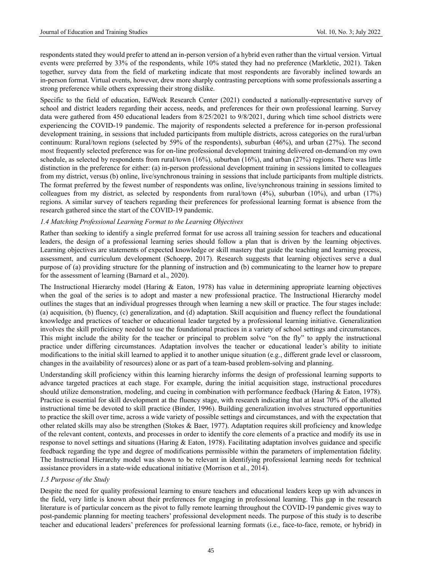respondents stated they would prefer to attend an in-person version of a hybrid even rather than the virtual version. Virtual events were preferred by 33% of the respondents, while 10% stated they had no preference (Markletic, 2021). Taken together, survey data from the field of marketing indicate that most respondents are favorably inclined towards an in-person format. Virtual events, however, drew more sharply contrasting perceptions with some professionals asserting a strong preference while others expressing their strong dislike.

Specific to the field of education, EdWeek Research Center (2021) conducted a nationally-representative survey of school and district leaders regarding their access, needs, and preferences for their own professional learning. Survey data were gathered from 450 educational leaders from 8/25/2021 to 9/8/2021, during which time school districts were experiencing the COVID-19 pandemic. The majority of respondents selected a preference for in-person professional development training, in sessions that included participants from multiple districts, across categories on the rural/urban continuum: Rural/town regions (selected by 59% of the respondents), suburban (46%), and urban (27%). The second most frequently selected preference was for on-line professional development training delivered on-demand/on my own schedule, as selected by respondents from rural/town (16%), suburban (16%), and urban (27%) regions. There was little distinction in the preference for either: (a) in-person professional development training in sessions limited to colleagues from my district, versus (b) online, live/synchronous training in sessions that include participants from multiple districts. The format preferred by the fewest number of respondents was online, live/synchronous training in sessions limited to colleagues from my district, as selected by respondents from rural/town (4%), suburban (10%), and urban (17%) regions. A similar survey of teachers regarding their preferences for professional learning format is absence from the research gathered since the start of the COVID-19 pandemic.

#### *1.4 Matching Professional Learning Format to the Learning Objectives*

Rather than seeking to identify a single preferred format for use across all training session for teachers and educational leaders, the design of a professional learning series should follow a plan that is driven by the learning objectives. Learning objectives are statements of expected knowledge or skill mastery that guide the teaching and learning process, assessment, and curriculum development (Schoepp, 2017). Research suggests that learning objectives serve a dual purpose of (a) providing structure for the planning of instruction and (b) communicating to the learner how to prepare for the assessment of learning (Barnard et al., 2020).

The Instructional Hierarchy model (Haring & Eaton, 1978) has value in determining appropriate learning objectives when the goal of the series is to adopt and master a new professional practice. The Instructional Hierarchy model outlines the stages that an individual progresses through when learning a new skill or practice. The four stages include: (a) acquisition, (b) fluency, (c) generalization, and (d) adaptation. Skill acquisition and fluency reflect the foundational knowledge and practices of teacher or educational leader targeted by a professional learning initiative. Generalization involves the skill proficiency needed to use the foundational practices in a variety of school settings and circumstances. This might include the ability for the teacher or principal to problem solve "on the fly" to apply the instructional practice under differing circumstances. Adaptation involves the teacher or educational leader's ability to initiate modifications to the initial skill learned to applied it to another unique situation (e.g., different grade level or classroom, changes in the availability of resources) alone or as part of a team-based problem-solving and planning.

Understanding skill proficiency within this learning hierarchy informs the design of professional learning supports to advance targeted practices at each stage. For example, during the initial acquisition stage, instructional procedures should utilize demonstration, modeling, and cueing in combination with performance feedback (Haring & Eaton, 1978). Practice is essential for skill development at the fluency stage, with research indicating that at least 70% of the allotted instructional time be devoted to skill practice (Binder, 1996). Building generalization involves structured opportunities to practice the skill over time, across a wide variety of possible settings and circumstances, and with the expectation that other related skills may also be strengthen (Stokes & Baer, 1977). Adaptation requires skill proficiency and knowledge of the relevant content, contexts, and processes in order to identify the core elements of a practice and modify its use in response to novel settings and situations (Haring & Eaton, 1978). Facilitating adaptation involves guidance and specific feedback regarding the type and degree of modifications permissible within the parameters of implementation fidelity. The Instructional Hierarchy model was shown to be relevant in identifying professional learning needs for technical assistance providers in a state-wide educational initiative (Morrison et al., 2014).

#### *1.5 Purpose of the Study*

Despite the need for quality professional learning to ensure teachers and educational leaders keep up with advances in the field, very little is known about their preferences for engaging in professional learning. This gap in the research literature is of particular concern as the pivot to fully remote learning throughout the COVID-19 pandemic gives way to post-pandemic planning for meeting teachers' professional development needs. The purpose of this study is to describe teacher and educational leaders' preferences for professional learning formats (i.e., face-to-face, remote, or hybrid) in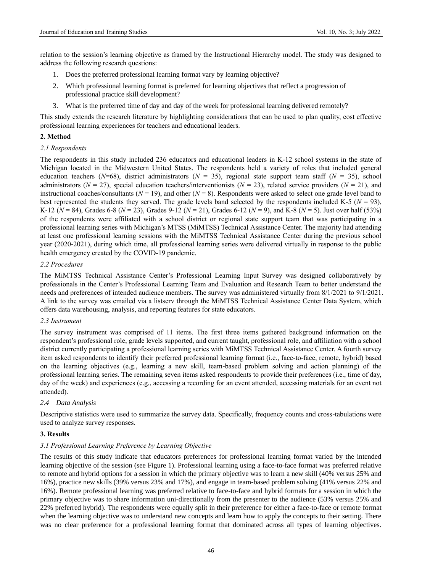relation to the session's learning objective as framed by the Instructional Hierarchy model. The study was designed to address the following research questions:

- 1. Does the preferred professional learning format vary by learning objective?
- 2. Which professional learning format is preferred for learning objectives that reflect a progression of professional practice skill development?
- 3. What is the preferred time of day and day of the week for professional learning delivered remotely?

This study extends the research literature by highlighting considerations that can be used to plan quality, cost effective professional learning experiences for teachers and educational leaders.

## **2. Method**

### *2.1 Respondents*

The respondents in this study included 236 educators and educational leaders in K-12 school systems in the state of Michigan located in the Midwestern United States. The respondents held a variety of roles that included general education teachers ( $N=68$ ), district administrators ( $N=35$ ), regional state support team staff ( $N=35$ ), school administrators ( $N = 27$ ), special education teachers/interventionists ( $N = 23$ ), related service providers ( $N = 21$ ), and instructional coaches/consultants  $(N = 19)$ , and other  $(N = 8)$ . Respondents were asked to select one grade level band to best represented the students they served. The grade levels band selected by the respondents included K-5 ( $N = 93$ ), K-12 (*N* = 84), Grades 6-8 (*N* = 23), Grades 9-12 (*N* = 21), Grades 6-12 (*N* = 9), and K-8 (*N* = 5). Just over half (53%) of the respondents were affiliated with a school district or regional state support team that was participating in a professional learning series with Michigan's MTSS (MiMTSS) Technical Assistance Center. The majority had attending at least one professional learning sessions with the MiMTSS Technical Assistance Center during the previous school year (2020-2021), during which time, all professional learning series were delivered virtually in response to the public health emergency created by the COVID-19 pandemic.

### *2.2 Procedures*

The MiMTSS Technical Assistance Center's Professional Learning Input Survey was designed collaboratively by professionals in the Center's Professional Learning Team and Evaluation and Research Team to better understand the needs and preferences of intended audience members. The survey was administered virtually from 8/1/2021 to 9/1/2021. A link to the survey was emailed via a listserv through the MiMTSS Technical Assistance Center Data System, which offers data warehousing, analysis, and reporting features for state educators.

### *2.3 Instrument*

The survey instrument was comprised of 11 items. The first three items gathered background information on the respondent's professional role, grade levels supported, and current taught, professional role, and affiliation with a school district currently participating a professional learning series with MiMTSS Technical Assistance Center. A fourth survey item asked respondents to identify their preferred professional learning format (i.e., face-to-face, remote, hybrid) based on the learning objectives (e.g., learning a new skill, team-based problem solving and action planning) of the professional learning series. The remaining seven items asked respondents to provide their preferences (i.e., time of day, day of the week) and experiences (e.g., accessing a recording for an event attended, accessing materials for an event not attended).

### *2.4 Data Analysis*

Descriptive statistics were used to summarize the survey data. Specifically, frequency counts and cross-tabulations were used to analyze survey responses.

## **3. Results**

### *3.1 Professional Learning Preference by Learning Objective*

The results of this study indicate that educators preferences for professional learning format varied by the intended learning objective of the session (see Figure 1). Professional learning using a face-to-face format was preferred relative to remote and hybrid options for a session in which the primary objective was to learn a new skill (40% versus 25% and 16%), practice new skills (39% versus 23% and 17%), and engage in team-based problem solving (41% versus 22% and 16%). Remote professional learning was preferred relative to face-to-face and hybrid formats for a session in which the primary objective was to share information uni-directionally from the presenter to the audience (53% versus 25% and 22% preferred hybrid). The respondents were equally split in their preference for either a face-to-face or remote format when the learning objective was to understand new concepts and learn how to apply the concepts to their setting. There was no clear preference for a professional learning format that dominated across all types of learning objectives.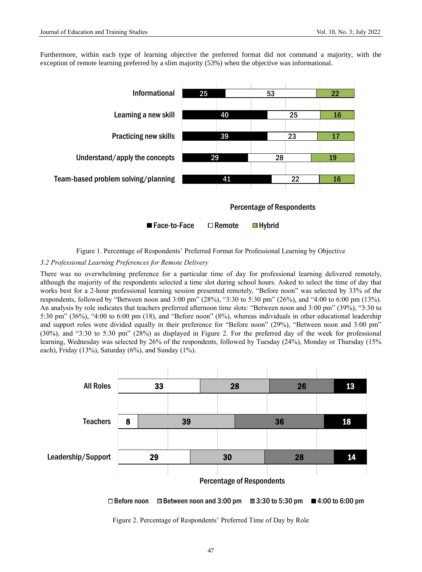Furthermore, within each type of learning objective the preferred format did not command a majority, with the exception of remote learning preferred by a slim majority (53%) when the objective was informational.



Figure 1. Percentage of Respondents' Preferred Format for Professional Learning by Objective

## *3.2 Professional Learning Preferences for Remote Delivery*

There was no overwhelming preference for a particular time of day for professional learning delivered remotely, although the majority of the respondents selected a time slot during school hours. Asked to select the time of day that works best for a 2-hour professional learning session presented remotely, "Before noon" was selected by 33% of the respondents, followed by "Between noon and 3:00 pm" (28%), "3:30 to 5:30 pm" (26%), and "4:00 to 6:00 pm (13%). An analysis by role indicates that teachers preferred afternoon time slots: "Between noon and 3:00 pm" (39%), "3:30 to 5:30 pm" (36%), "4:00 to 6:00 pm (18), and "Before noon" (8%), whereas individuals in other educational leadership and support roles were divided equally in their preference for "Before noon" (29%), "Between noon and 3:00 pm" (30%), and "3:30 to 5:30 pm" (28%) as displayed in Figure 2. For the preferred day of the week for professional learning, Wednesday was selected by 26% of the respondents, followed by Tuesday (24%), Monday or Thursday (15% each), Friday (13%), Saturday (6%), and Sunday (1%).



Figure 2. Percentage of Respondents' Preferred Time of Day by Role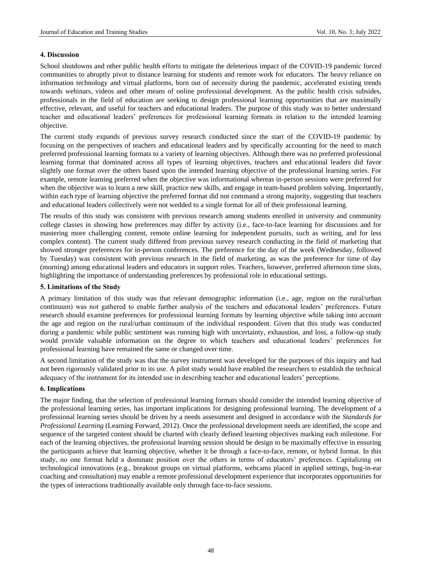## **4. Discussion**

School shutdowns and other public health efforts to mitigate the deleterious impact of the COVID-19 pandemic forced communities to abruptly pivot to distance learning for students and remote work for educators. The heavy reliance on information technology and virtual platforms, born out of necessity during the pandemic, accelerated existing trends towards webinars, videos and other means of online professional development. As the public health crisis subsides, professionals in the field of education are seeking to design professional learning opportunities that are maximally effective, relevant, and useful for teachers and educational leaders. The purpose of this study was to better understand teacher and educational leaders' preferences for professional learning formats in relation to the intended learning objective.

The current study expands of previous survey research conducted since the start of the COVID-19 pandemic by focusing on the perspectives of teachers and educational leaders and by specifically accounting for the need to match preferred professional learning formats to a variety of learning objectives. Although there was no preferred professional learning format that dominated across all types of learning objectives, teachers and educational leaders did favor slightly one format over the others based upon the intended learning objective of the professional learning series. For example, remote learning preferred when the objective was informational whereas in-person sessions were preferred for when the objective was to learn a new skill, practice new skills, and engage in team-based problem solving. Importantly, within each type of learning objective the preferred format did not command a strong majority, suggesting that teachers and educational leaders collectively were not wedded to a single format for all of their professional learning.

The results of this study was consistent with previous research among students enrolled in university and community college classes in showing how preferences may differ by activity (i.e., face-to-face learning for discussions and for mastering more challenging content, remote online learning for independent pursuits, such as writing, and for less complex content). The current study differed from previous survey research conducting in the field of marketing that showed stronger preferences for in-person conferences. The preference for the day of the week (Wednesday, followed by Tuesday) was consistent with previous research in the field of marketing, as was the preference for time of day (morning) among educational leaders and educators in support roles. Teachers, however, preferred afternoon time slots, highlighting the importance of understanding preferences by professional role in educational settings.

## **5. Limitations of the Study**

A primary limitation of this study was that relevant demographic information (i.e., age, region on the rural/urban continuum) was not gathered to enable further analysis of the teachers and educational leaders' preferences. Future research should examine preferences for professional learning formats by learning objective while taking into account the age and region on the rural/urban continuum of the individual respondent. Given that this study was conducted during a pandemic while public sentiment was running high with uncertainty, exhaustion, and loss, a follow-up study would provide valuable information on the degree to which teachers and educational leaders' preferences for professional learning have remained the same or changed over time.

A second limitation of the study was that the survey instrument was developed for the purposes of this inquiry and had not been rigorously validated prior to its use. A pilot study would have enabled the researchers to establish the technical adequacy of the instrument for its intended use in describing teacher and educational leaders' perceptions.

### **6. Implications**

The major finding, that the selection of professional learning formats should consider the intended learning objective of the professional learning series, has important implications for designing professional learning. The development of a professional learning series should be driven by a needs assessment and designed in accordance with the *Standards for Professional Learning* (Learning Forward, 2012). Once the professional development needs are identified, the scope and sequence of the targeted content should be charted with clearly defined learning objectives marking each milestone. For each of the learning objectives, the professional learning session should be design to be maximally effective in ensuring the participants achieve that learning objective, whether it be through a face-to-face, remote, or hybrid format. In this study, no one format held a dominate position over the others in terms of educators' preferences. Capitalizing on technological innovations (e.g., breakout groups on virtual platforms, webcams placed in applied settings, bug-in-ear coaching and consultation) may enable a remote professional development experience that incorporates opportunities for the types of interactions traditionally available only through face-to-face sessions.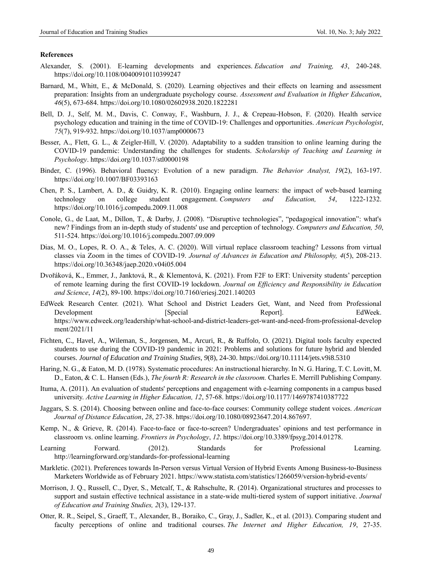#### **References**

- Alexander, S. (2001). E-learning developments and experiences. *Education and Training, 43*, 240-248. https://doi.org/10.1108/00400910110399247
- Barnard, M., Whitt, E., & McDonald, S. (2020). Learning objectives and their effects on learning and assessment preparation: Insights from an undergraduate psychology course. *Assessment and Evaluation in Higher Education*, *46*(5), 673-684[. https://doi.org/10.1080/02602938.2020.1822281](https://doi.org/10.1080/02602938.2020.1822281)
- Bell, D. J., Self, M. M., Davis, C. Conway, F., Washburn, J. J., & Crepeau-Hobson, F. (2020). Health service psychology education and training in the time of COVID-19: Challenges and opportunities. *American Psychologist*, *75*(7), 919-932[. https://doi.org/10.1037/amp0000673](https://doi.org/10.1037/amp0000673)
- Besser, A., Flett, G. L., & Zeigler-Hill, V. (2020). Adaptability to a sudden transition to online learning during the COVID-19 pandemic: Understanding the challenges for students. *Scholarship of Teaching and Learning in Psychology*. https://doi.org/10.1037/stl0000198
- Binder, C. (1996). Behavioral fluency: Evolution of a new paradigm. *The Behavior Analyst, 19*(2), 163-197. <https://doi.org/10.1007/BF03393163>
- Chen, P. S., Lambert, A. D., & Guidry, K. R. (2010). Engaging online learners: the impact of web-based learning technology on college student engagement. *Computers and Education, 54*, 1222-1232. https://doi.org/10.1016/j.compedu.2009.11.008
- Conole, G., de Laat, M., Dillon, T., & Darby, J. (2008). "Disruptive technologies", "pedagogical innovation": what's new? Findings from an in-depth study of students' use and perception of technology. *Computers and Education, 50*, 511-524. https://doi.org/10.1016/j.compedu.2007.09.009
- Dias, M. O., Lopes, R. O. A., & Teles, A. C. (2020). Will virtual replace classroom teaching? Lessons from virtual classes via Zoom in the times of COVID-19. *Journal of Advances in Education and Philosophy, 4*(5), 208-213. <https://doi.org/10.36348/jaep.2020.v04i05.004>
- Dvořáková, K., Emmer, J., Janktová, R., & Klementová, K. (2021). From F2F to ERT: University students' perception of remote learning during the first COVID-19 lockdown. *Journal on Efficiency and Responsibility in Education and Science*, *14*(2), 89-100[. https://doi.org/10.7160/eriesj.2021.140203](https://doi.org/10.7160/eriesj.2021.140203)
- EdWeek Research Center. (2021). What School and District Leaders Get, Want, and Need from Professional Development [Special Report]. EdWeek. https://www.edweek.org/leadership/what-school-and-district-leaders-get-want-and-need-from-professional-develop ment/2021/11
- Fichten, C., Havel, A., Wileman, S., Jorgensen, M., Arcuri, R., & Ruffolo, O. (2021). Digital tools faculty expected students to use during the COVID-19 pandemic in 2021: Problems and solutions for future hybrid and blended courses. *Journal of Education and Training Studies*, *9*(8), 24-30. https://doi.org/10.11114/jets.v9i8.5310
- Haring, N. G., & Eaton, M. D. (1978). Systematic procedures: An instructional hierarchy. In N. G. Haring, T. C. Lovitt, M. D., Eaton, & C. L. Hansen (Eds.), *The fourth R: Research in the classroom.* Charles E. Merrill Publishing Company.
- Ituma, A. (2011). An evaluation of students' perceptions and engagement with e-learning components in a campus based university. *Active Learning in Higher Education, 12*, 57-68. https://doi.org/10.1177/1469787410387722
- Jaggars, S. S. (2014). Choosing between online and face-to-face courses: Community college student voices. *American Journal of Distance Education*, *28*, 27-38. https://doi.org/10.1080/08923647.2014.867697.
- Kemp, N., & Grieve, R. (2014). Face-to-face or face-to-screen? Undergraduates' opinions and test performance in classroom vs. online learning. *Frontiers in Psychology*, *12*. https://doi.org/10.3389/fpsyg.2014.01278.
- Learning Forward. (2012). Standards for Professional Learning. [http://learningforward.org/standards-for-p](http://learningforward.org/standards-for-)rofessional-learning
- Markletic. (2021). Preferences towards In-Person versus Virtual Version of Hybrid Events Among Business-to-Business Marketers Worldwide as of February 2021. https://www.statista.com/statistics/1266059/version-hybrid-events/
- Morrison, J. Q., Russell, C., Dyer, S., Metcalf, T., & Rahschulte, R. (2014). Organizational structures and processes to support and sustain effective technical assistance in a state-wide multi-tiered system of support initiative. *Journal of Education and Training Studies, 2*(3), 129-137.
- Otter, R. R., Seipel, S., Graeff, T., Alexander, B., Boraiko, C., Gray, J., Sadler, K., et al. (2013). Comparing student and faculty perceptions of online and traditional courses. *The Internet and Higher Education, 19*, 27-35.